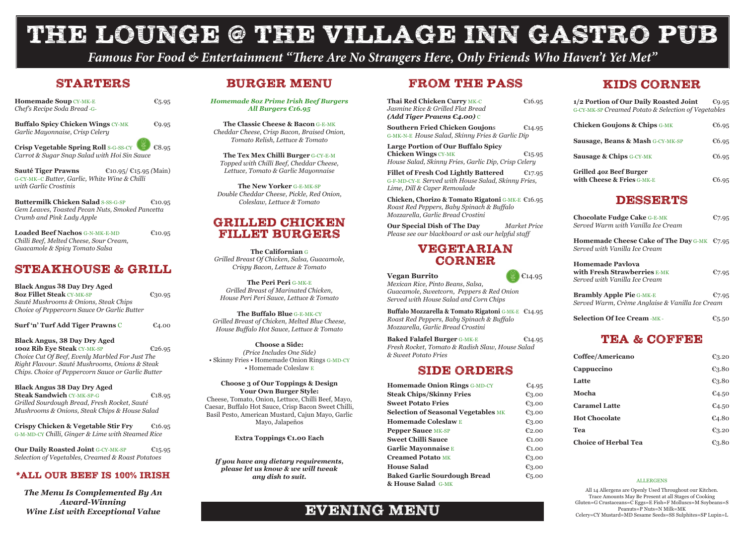*Famous For Food & Entertainment "There Are No Strangers Here, Only Friends Who Haven't Yet Met"*

# THE LOUNGE @ THE VILLAGE INN GASTRO PUB

#### ALLERGENS

All 14 Allergens are Openly Used Throughout our Kitchen. Trace Amounts May Be Present at all Stages of Cooking Gluten=G Crustaceans=C Eggs=E Fish=F Molluscs=M Soybeans=S Peanuts=P Nuts=N Milk=MK Celery=CY Mustard=MD Sesame Seeds=SS Sulphites=SP Lupin=L

### BURGER MENU

*Homemade 8oz Prime Irish Beef Burgers All Burgers €16.95*

**The Classic Cheese & Bacon** G-E-MK *Cheddar Cheese, Crisp Bacon, Braised Onion, Tomato Relish, Lettuce & Tomato*

**The Tex Mex Chilli Burger** G-CY-E-M *Topped with Chilli Beef, Cheddar Cheese, Lettuce, Tomato & Garlic Mayonnaise*

**The New Yorker** G-E-MK-SP *Double Cheddar Cheese, Pickle, Red Onion, Coleslaw, Lettuce & Tomato*

#### GRILLED CHICKEN FILLET BURGERS

**The Californian** G *Grilled Breast Of Chicken, Salsa, Guacamole, Crispy Bacon, Lettuce & Tomato*

**The Peri Peri** G-MK-E *Grilled Breast of Marinated Chicken, House Peri Peri Sauce, Lettuce & Tomato*

**The Buffalo Blue** G-E-MK-CY *Grilled Breast of Chicken, Melted Blue Cheese, House Buffalo Hot Sauce, Lettuce & Tomato*

**Choose a Side:**  *(Price Includes One Side)* • Skinny Fries • Homemade Onion Rings G-MD-CY • Homemade Coleslaw E

#### **Choose 3 of Our Toppings & Design Your Own Burger Style:**

Cheese, Tomato, Onion, Lettuce, Chilli Beef, Mayo, Caesar, Buffalo Hot Sauce, Crisp Bacon Sweet Chilli, Basil Pesto, American Mustard, Cajun Mayo, Garlic Mayo, Jalapeños

**Extra Toppings €1.00 Each**

*If you have any dietary requirements, please let us know & we will tweak any dish to suit.*

### FROM THE PASS

Loaded Beef Nachos **G-N-MK-E-MD**  $\epsilon$ 10.95 *Chilli Beef, Melted Cheese, Sour Cream, Guacamole & Spicy Tomato Salsa*

| Thai Red Chicken Curry MK-C<br>Jasmine Rice & Grilled Flat Bread<br>(Add Tiger Prawns $E_4.00$ ) $\circ$                                                                                                                                                                                                                                                         | €16.95                                                                                                              | 1/2<br>$G-C$                        |
|------------------------------------------------------------------------------------------------------------------------------------------------------------------------------------------------------------------------------------------------------------------------------------------------------------------------------------------------------------------|---------------------------------------------------------------------------------------------------------------------|-------------------------------------|
| <b>Southern Fried Chicken Goujons</b><br>G-MK-N-E House Salad, Skinny Fries & Garlic Dip                                                                                                                                                                                                                                                                         | €14.95                                                                                                              | Ch<br>Sa                            |
| <b>Large Portion of Our Buffalo Spicy</b><br><b>Chicken Wings CY-MK</b><br>House Salad, Skinny Fries, Garlic Dip, Crisp Celery                                                                                                                                                                                                                                   | €15.95                                                                                                              | Sa                                  |
| <b>Fillet of Fresh Cod Lightly Battered</b><br>G-F-MD-CY-E Served with House Salad, Skinny Fries,<br>Lime, Dill & Caper Remoulade                                                                                                                                                                                                                                | €17.95                                                                                                              | Gri<br>wit                          |
| Chicken, Chorizo & Tomato Rigatoni G-MK-E €16.95<br>Roast Red Peppers, Baby Spinach & Buffalo<br>Mozzarella, Garlic Bread Crostini                                                                                                                                                                                                                               |                                                                                                                     | Ch                                  |
| Our Special Dish of The Day<br>Please see our blackboard or ask our helpful staff                                                                                                                                                                                                                                                                                | Market Price                                                                                                        | Ser                                 |
| <b>VEGETARIAN</b><br>CORNER                                                                                                                                                                                                                                                                                                                                      |                                                                                                                     | Ho<br>Ser<br>Ho                     |
| <b>Vegan Burrito</b><br>Mexican Rice, Pinto Beans, Salsa,<br>Guacamole, Sweetcorn, Peppers & Red Onion<br>Served with House Salad and Corn Chips                                                                                                                                                                                                                 | €14.95                                                                                                              | wit<br><b>Ser</b><br>Br<br>Ser      |
| Buffalo Mozzarella & Tomato Rigatoni G-MK-E €14.95<br>Roast Red Peppers, Baby Spinach & Buffalo<br>Mozzarella, Garlic Bread Crostini                                                                                                                                                                                                                             |                                                                                                                     | Sel                                 |
| <b>Baked Falafel Burger G-MK-E</b><br>Fresh Rocket, Tomato & Radish Slaw, House Salad<br>& Sweet Potato Fries                                                                                                                                                                                                                                                    | €14.95                                                                                                              | Co                                  |
| <b>SIDE ORDERS</b>                                                                                                                                                                                                                                                                                                                                               |                                                                                                                     | Ca                                  |
| <b>Homemade Onion Rings G-MD-CY</b><br><b>Steak Chips/Skinny Fries</b><br><b>Sweet Potato Fries</b><br><b>Selection of Seasonal Vegetables MK</b><br><b>Homemade Coleslaw E</b><br><b>Pepper Sauce MK-SP</b><br><b>Sweet Chilli Sauce</b><br><b>Garlic Mayonnaise E</b><br><b>Creamed Potato MK</b><br><b>House Salad</b><br><b>Baked Garlic Sourdough Bread</b> | E4.95<br>$\epsilon_{3.00}$<br>€3.00<br>$E_{3.00}$<br>€3.00<br>E2.00<br>€1.00<br>E1.00<br>€3.00<br>€3.00<br>€ $5.00$ | La<br>Mo<br>Ca<br>$H_0$<br>Te<br>Ch |
| & House Salad G-MK                                                                                                                                                                                                                                                                                                                                               |                                                                                                                     |                                     |



**Our Daily Roasted Joint** G-CY-MK-SP €15.95 *Selection of Vegetables, Creamed & Roast Potatoes*

*The Menu Is Complemented By An Award-Winning Wine List with Exceptional Value* **EVENING MENU** 

### KIDS CORNER

| 1/2 Portion of Our Daily Roasted Joint<br>G-CY-MK-SP Creamed Potato & Selection of Vegetables   | €9.95             |
|-------------------------------------------------------------------------------------------------|-------------------|
| <b>Chicken Goujons &amp; Chips G-MK</b>                                                         | €6.95             |
| <b>Sausage, Beans &amp; Mash G-CY-MK-SP</b>                                                     | €6.95             |
| <b>Sausage &amp; Chips G-CY-MK</b>                                                              | €6.95             |
| <b>Grilled 40z Beef Burger</b><br>with Cheese & Fries G-MK-E                                    | €6.95             |
| <b>DESSERTS</b>                                                                                 |                   |
| <b>Chocolate Fudge Cake G-E-MK</b><br>Served Warm with Vanilla Ice Cream                        | $E$ 7.95          |
| Homemade Cheese Cake of The Day G-MK $\epsilon$ 7.95<br>Served with Vanilla Ice Cream           |                   |
| <b>Homemade Pavlova</b><br><b>with Fresh Strawberries E-MK</b><br>Served with Vanilla Ice Cream | $E$ 7.95          |
| <b>Brambly Apple Pie G-MK-E</b><br>Served Warm, Crème Anglaise & Vanilla Ice Cream              | $E$ 7.95          |
| <b>Selection Of Ice Cream-MK-</b>                                                               | $\epsilon_{5.50}$ |
| <b>TEA &amp; COFFEE</b>                                                                         |                   |
| Coffee/Americano                                                                                | $\epsilon_{3.20}$ |
| Cappuccino                                                                                      | €3.80             |

| <b>Latte</b>                | €3.80 |
|-----------------------------|-------|
| Mocha                       | €4.50 |
| <b>Caramel Latte</b>        | €4.50 |
| <b>Hot Chocolate</b>        | E4.80 |
| Tea                         | €3.20 |
| <b>Choice of Herbal Tea</b> | €3.80 |

#### STARTERS

| <b>Homemade Soup CY-MK-E</b><br>Chef's Recipe Soda Bread -G-                                                                                     | €5.95  |
|--------------------------------------------------------------------------------------------------------------------------------------------------|--------|
| <b>Buffalo Spicy Chicken Wings CY-MK</b><br>Garlic Mayonnaise, Crisp Celery                                                                      | €9.95  |
| <b>Crisp Vegetable Spring Roll S-G-SS-CY</b><br>Carrot & Sugar Snap Salad with Hoi Sin Sauce                                                     | €8.95  |
| $\epsilon$ 10.95/ $\epsilon$ 15.95 (Main)<br><b>Sauté Tiger Prawns</b><br>G-CY-MK-C Butter, Garlic, White Wine & Chilli<br>with Garlic Crostinis |        |
| <b>Buttermilk Chicken Salad S-SS-G-SP</b><br>Gem Leaves, Toasted Pecan Nuts, Smoked Pancetta<br>Crumb and Pink Lady Apple                        | €10.95 |

## STEAKHOUSE & GRILL

**Black Angus 38 Day Dry Aged 8oz Fillet Steak** CY-MK-SP €30.95 *Sauté Mushrooms & Onions, Steak Chips Choice of Peppercorn Sauce Or Garlic Butter*

**Surf 'n' Turf Add Tiger Prawns** C €4.00

**Black Angus, 38 Day Dry Aged 100Z Rib Eye Steak** CY-MK-SP **€26.95** *Choice Cut Of Beef, Evenly Marbled For Just The Right Flavour. Sauté Mushrooms, Onions & Steak Chips. Choice of Peppercorn Sauce or Garlic Butter*

**Black Angus 38 Day Dry Aged Steak Sandwich CY-MK-SP-G €18.95** *Grilled Sourdough Bread, Fresh Rocket, Sauté Mushrooms & Onions, Steak Chips & House Salad*

**Crispy Chicken & Vegetable Stir Fry** €16.95 G-M-MD-CY *Chilli, Ginger & Lime with Steamed Rice*

#### \*ALL OUR BEEF IS 100% IRISH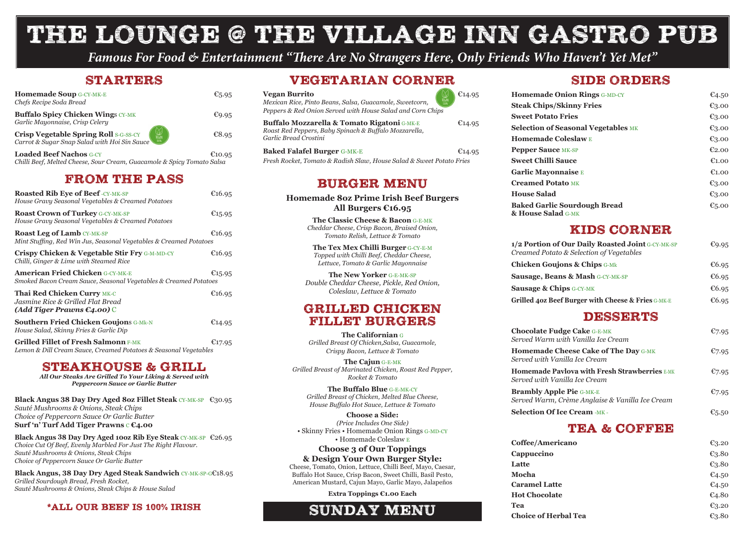*Famous For Food & Entertainment "There Are No Strangers Here, Only Friends Who Haven't Yet Met"*

#### **STARTERS**

# THE LOUNGE @ THE VILLAGE INN GASTRO PUB



| <b>Homemade Soup G-CY-MK-E</b><br>Chefs Recipe Soda Bread                                                     | €5.95  |
|---------------------------------------------------------------------------------------------------------------|--------|
| <b>Buffalo Spicy Chicken Wings CY-MK</b><br>Garlic Mayonnaise, Crisp Celery                                   | €9.95  |
| <b>Crisp Vegetable Spring Roll S-G-SS-CY</b><br>VEGAN<br>100%<br>Carrot & Sugar Snap Salad with Hoi Sin Sauce | €8.95  |
| <b>Loaded Beef Nachos G-CY</b><br>Chilli Beef, Melted Cheese, Sour Cream, Guacamole & Spicy Tomato Salsa      | €10.95 |

#### FROM THE PASS

**Black Angus 38 Day Dry Aged 8oz Fillet Steak** CY-MK-SP €30.95 *Sauté Mushrooms & Onions, Steak Chips Choice of Peppercorn Sauce Or Garlic Butter* **Surf 'n' Turf Add Tiger Prawns € €4.00** 

| <b>Roasted Rib Eye of Beef -CY-MK-SP</b><br>House Gravy Seasonal Vegetables & Creamed Potatoes                  | €16.95 |
|-----------------------------------------------------------------------------------------------------------------|--------|
| <b>Roast Crown of Turkey G-CY-MK-SP</b><br>House Gravy Seasonal Vegetables & Creamed Potatoes                   | €15.95 |
| <b>Roast Leg of Lamb CY-MK-SP</b><br>Mint Stuffing, Red Win Jus, Seasonal Vegetables & Creamed Potatoes         | €16.95 |
| <b>Crispy Chicken &amp; Vegetable Stir Fry G-M-MD-CY</b><br>Chilli, Ginger & Lime with Steamed Rice             | €16.95 |
| <b>American Fried Chicken G-CY-MK-E</b><br>Smoked Bacon Cream Sauce, Seasonal Vegetables & Creamed Potatoes     | €15.95 |
| <b>Thai Red Chicken Curry MK-C</b><br>Jasmine Rice & Grilled Flat Bread<br>(Add Tiger Prawns $E_4.00$ ) C       | €16.95 |
| <b>Southern Fried Chicken Goujons G-Mk-N</b><br>House Salad, Skinny Fries & Garlic Dip                          | €14.95 |
| <b>Grilled Fillet of Fresh Salmonn F-MK</b><br>Lemon & Dill Cream Sauce, Creamed Potatoes & Seasonal Vegetables | €17.95 |

#### STEAKHOUSE & GRILL

*All Our Steaks Are Grilled To Your Liking & Served with Peppercorn Sauce or Garlic Butter*

**Black Angus 38 Day Dry Aged 10oz Rib Eye Steak** CY-MK-SP €26.95 *Choice Cut Of Beef, Evenly Marbled For Just The Right Flavour. Sauté Mushrooms & Onions, Steak Chips Choice of Peppercorn Sauce Or Garlic Butter*

**Homemade Onion R Steak Chips/Skinny Sweet Potato Fries Selection of Seasonal Homemade Coleslaw Pepper Sauce MK-SP Sweet Chilli Sauce Garlic Mayonnaise Creamed Potato MK House Salad Baked Garlic Sourde & House Salad** G-MK

**1/2 Portion of Our Day** *Creamed Potato & Selet* **Chicken Goujons & Sausage, Beans & M Sausage & Chips G-CY Grilled 40z Beef Burger** 

**Chocolate Fudge Cal** *Served Warm with Van* 

**Homemade Cheese** *Served with Vanilla Ice* 

**Homemade Pavlova w** *Served with Vanilla Ice* 

**Brambly Apple Pie G** *Served Warm, Crème A* 

**Selection Of Ice Crea** 

**Black Angus, 38 Day Dry Aged Steak Sandwich** CY-MK-SP-G€18.95 *Grilled Sourdough Bread, Fresh Rocket, Sauté Mushrooms & Onions, Steak Chips & House Salad*

#### \*ALL OUR BEEF IS 100% IRISH

#### BURGER MENU

**Homemade 8oz Prime Irish Beef Burgers All Burgers €16.95**

> **Coffee/Americano** €3.20 **Cappuccino** €3.80 **Latte** €3.80 **Mocha** €4.50 **Caramel Latte** €4.50 **Hot Chocolate** €4.80 **Tea**  $\epsilon_{3.20}$ Choice of Herbal Tea <del>€3.80</del>

**The Classic Cheese & Bacon** G-E-MK *Cheddar Cheese, Crisp Bacon, Braised Onion, Tomato Relish, Lettuce & Tomato*

**The Tex Mex Chilli Burger** G-CY-E-M *Topped with Chilli Beef, Cheddar Cheese, Lettuce, Tomato & Garlic Mayonnaise*

**The New Yorker** G-E-MK-SP *Double Cheddar Cheese, Pickle, Red Onion, Coleslaw, Lettuce & Tomato*

### GRILLED CHICKEN FILLET BURGERS

**The Californian** G *Grilled Breast Of Chicken,Salsa, Guacamole, Crispy Bacon, Lettuce & Tomato*

**The Cajun** G-E-MK *Grilled Breast of Marinated Chicken, Roast Red Pepper, Rocket & Tomato*

**The Buffalo Blue** G-E-MK-CY *Grilled Breast of Chicken, Melted Blue Cheese, House Buffalo Hot Sauce, Lettuce & Tomato*

**Choose a Side:**  *(Price Includes One Side)* • Skinny Fries • Homemade Onion Rings G-MD-CY • Homemade Coleslaw E

#### **Choose 3 of Our Toppings & Design Your Own Burger Style:**

Cheese, Tomato, Onion, Lettuce, Chilli Beef, Mayo, Caesar, Buffalo Hot Sauce, Crisp Bacon, Sweet Chilli, Basil Pesto, American Mustard, Cajun Mayo, Garlic Mayo, Jalapeños

**Extra Toppings €1.00 Each**

## SIDE ORDERS

| <b>lings</b> G-MD-CY | €4.50             |
|----------------------|-------------------|
| <b>Fries</b>         | €3.00             |
|                      | $\epsilon_{3.00}$ |
| al Vegetables MK     | €3.00             |
| W E                  | $\epsilon_{3.00}$ |
|                      | E2.00             |
|                      | $\epsilon$ 1.00   |
|                      | E1.00             |
|                      | €3.00             |
|                      | €3.00             |
| ough Bread           | € $5.00$          |

# KIDS CORNER

| aily Roasted Joint G-CY-MK-SP<br>ction of Vegetables | €9.95                |
|------------------------------------------------------|----------------------|
| Chips $G-Mk$                                         | €6.95                |
| $\mathbf{ash}$ G-CY-MK-SP                            | €6.95                |
| $-MK$                                                | €6.95                |
| er with Cheese & Fries G-MK-E                        | €6.95                |
| <b>DESSERTS</b>                                      |                      |
| $ke$ G-E-MK<br>ıilla Ice Cream                       | $E$ 7.95             |
| <b>Cake of The Day G-MK</b><br>e Cream               | $E$ 7.95             |
| <b>vith Fresh Strawberries</b> E-MK<br>e Cream       | $E$ 7.95             |
| $-MK-E$<br>Anglaise & Vanilla Ice Cream              | $E$ 7.95             |
| <b>am</b> -мк -                                      | $\varepsilon_{5.50}$ |

## TEA & COFFEE

### VEGETARIAN CORNER

| <b>Vegan Burrito</b><br>Mexican Rice, Pinto Beans, Salsa, Guacamole, Sweetcorn,<br>Peppers & Red Onion Served with House Salad and Corn Chips | €14.95 |
|-----------------------------------------------------------------------------------------------------------------------------------------------|--------|
| <b>Buffalo Mozzarella &amp; Tomato Rigatoni G-MK-E</b><br>Roast Red Peppers, Baby Spinach & Buffalo Mozzarella,<br>Garlic Bread Crostini      | €14.95 |
| <b>Baked Falafel Burger G-MK-E</b><br><b>HIDI.H.</b> (0 DILAI)                                                                                | €14.95 |

*Fresh Rocket, Tomato & Radish Slaw, House Salad & Sweet Potato Fries*